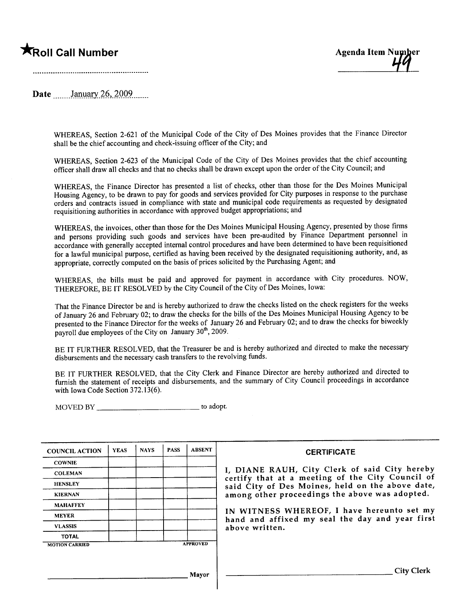# \*Roll Call Number Agenda Item Number Agenda Item Number



Date January 26, 2009.......

WHEREAS, Section 2-621 of the Municipal Code of the City of Des Moines provides that the Finance Director shall be the chief accounting and check-issuing officer of the City; and

WHEREAS, Section 2-623 of the Municipal Code of the City of Des Moines provides that the chief accounting officer shall draw all checks and that no checks shall be drawn except upon the order of the City Council; and

WHEREAS, the Finance Director has presented a list of checks, other than those for the Des Moines Municipal Housing Agency, to be drawn to pay for goods and services provided for City purposes in response to the purchase orders and contracts issued in compliance with state and municipal code requirements as requested by designated requisitioning authorities in accordance with approved budget appropriations; and

WHEREAS, the invoices, other than those for the Des Moines Municipal Housing Agency, presented by those firms and persons providing such goods and services have been pre-audited by Finance Department personnel in accordance with generally accepted internal control procedures and have been determined to have been requisitioned for a lawful municipal purpose, certified as having been received by the designated requisitioning authority, and, as appropriate, correctly computed on the basis of prices solicited by the Purchasing Agent; and

WHEREAS, the bils must be paid and approved for payment in accordance with City procedures. NOW, THEREFORE, BE IT RESOLVED by the City Council of the City of Des Moines, Iowa:

That the Finance Director be and is hereby authorized to draw the checks listed on the check registers for the weeks of January 26 and February 02; to draw the checks for the bils of the Des Moines Municipal Housing Agency to be presented to the Finance Director for the weeks of January 26 and February 02; and to draw the checks for biweekly payroll due employees of the City on January 30 , 2009.

BE IT FURTHER RESOLVED, that the Treasurer be and is hereby authorized and directed to make the necessary disbursements and the necessary cash transfers to the revolving fuds.

BE IT FURTHER RESOLVED, that the City Clerk and Finance Director are hereby authorized and directed to furnish the statement of receipts and disbursements, and the summary of City Council proceedings in accordance with Iowa Code Section 372.13(6).

MOVED BY to adopt.

| <b>COUNCIL ACTION</b> | <b>YEAS</b> | <b>NAYS</b>     | <b>PASS</b> | <b>ABSENT</b> |
|-----------------------|-------------|-----------------|-------------|---------------|
| <b>COWNIE</b>         |             |                 |             |               |
| <b>COLEMAN</b>        |             |                 |             |               |
| <b>HENSLEY</b>        |             |                 |             |               |
| <b>KIERNAN</b>        |             |                 |             |               |
| <b>MAHAFFEY</b>       |             |                 |             |               |
| <b>MEYER</b>          |             |                 |             |               |
| <b>VLASSIS</b>        |             |                 |             |               |
| <b>TOTAL</b>          |             |                 |             |               |
| <b>MOTION CARRIED</b> |             | <b>APPROVED</b> |             |               |

### **CERTIFICATE**

I, DIANE RAUH, City Clerk of said City hereby certify that at a meeting of the City Council of said City of Des Moines, held on the above date, among other proceedings the above was adopted.

IN WITNESS WHEREOF, I have hereunto set my hand and affixed my seal the day and year first above written.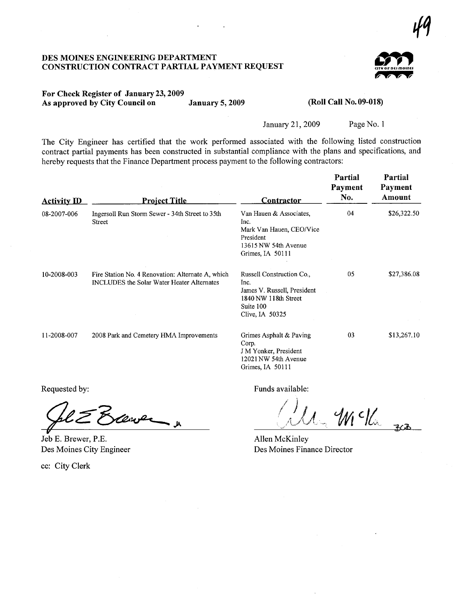## DES MOINES ENGINEERIG DEPARTMENT CONSTRUCTION CONTRACT PARTIAL PAYMENT REQUEST



47

### For Check Register of January 23, 2009 As approved by City Council on January 5, 2009

### (Roll Call No. 09-018)

January 21,2009 Page No.1

The City Engineer has certified that the work performed associated with the following listed construction contract partial payments has been constructed in substantial compliance with the plans and specifications, and hereby requests that the Finance Department process payment to the following contractors:

| <b>Activity ID</b> | <b>Project Title</b>                                                                            | <b>Contractor</b>                                                                                                        | Partial<br>Payment<br>No. | Partial<br>Payment<br>Amount |
|--------------------|-------------------------------------------------------------------------------------------------|--------------------------------------------------------------------------------------------------------------------------|---------------------------|------------------------------|
| 08-2007-006        | Ingersoll Run Storm Sewer - 34th Street to 35th<br>Street                                       | Van Hauen & Associates,<br>Inc.<br>Mark Van Hauen, CEO/Vice<br>President<br>13615 NW 54th Avenue<br>Grimes, IA 50111     | 04                        | \$26,322.50                  |
| 10-2008-003        | Fire Station No. 4 Renovation: Alternate A, which<br>INCLUDES the Solar Water Heater Alternates | Russell Construction Co.,<br>Inc.<br>James V. Russell, President<br>1840 NW 118th Street<br>Suite 100<br>Clive, IA 50325 | 05                        | \$27,386.08                  |
| 11-2008-007        | 2008 Park and Cemetery HMA Improvements                                                         | Grimes Asphalt & Paving<br>Corp.<br>J M Yonker, President<br>12021 NW 54th Avenue<br>Grimes, IA 50111                    | 03                        | \$13,267.10                  |

Requested by:<br>Cal  $\geq$  Brewer

Jeb E. Brewer, P.E. Des Moines City Engineer

cc: City Clerk

Funds available:

/ ¡  $\left/$  J  $\right/$  $\bigcirc$   $\mathcal{A}$   $\mathcal{A}$   $\mathcal{A}$   $\mathcal{A}$  $W<sub>0</sub>$ 

Allen McKinley Des Moines Finance Director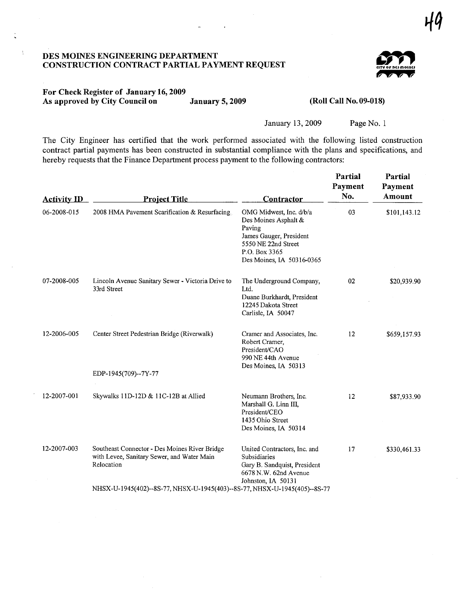# DES MOINES ENGINEERING DEPARTMENT CONSTRUCTION CONTRACT PARTIAL PAYMENT REQUEST



# For Check Register of January 16, 2009 As approved by City Council on January 5, 2009 (Roll Call No. 09-018)

 $\tilde{\Sigma}$ 

January 13, 2009 Page No. 1

The City Engineer has certified that the work performed associated with the following listed construction contract partial payments has been constructed in substantial compliance with the plans and specifications, and hereby requests that the Finance Department process payment to the following contractors:

| <b>Activity ID</b> | <b>Project Title</b>                                                                                                                                                                   | Contractor                                                                                                                                                | Partial<br>Payment<br>No. | Partial<br>Payment<br>Amount |
|--------------------|----------------------------------------------------------------------------------------------------------------------------------------------------------------------------------------|-----------------------------------------------------------------------------------------------------------------------------------------------------------|---------------------------|------------------------------|
| 06-2008-015        | 2008 HMA Pavement Scarification & Resurfacing                                                                                                                                          | OMG Midwest, Inc. d/b/a<br>Des Moines Asphalt &<br>Paving<br>James Gauger, President<br>5550 NE 22nd Street<br>P.O. Box 3365<br>Des Moines, IA 50316-0365 | 03                        | \$101,143.12                 |
| 07-2008-005        | Lincoln Avenue Sanitary Sewer - Victoria Drive to<br>33rd Street                                                                                                                       | The Underground Company,<br>Ltd.<br>Duane Burkhardt, President<br>12245 Dakota Street<br>Carlisle, IA 50047                                               | 02                        | \$20,939.90                  |
| 12-2006-005        | Center Street Pedestrian Bridge (Riverwalk)                                                                                                                                            | Cramer and Associates, Inc.<br>Robert Cramer,<br>President/CAO<br>990 NE 44th Avenue<br>Des Moines, IA 50313                                              | 12                        | \$659,157.93                 |
|                    | EDP-1945(709)--7Y-77                                                                                                                                                                   |                                                                                                                                                           |                           |                              |
| 12-2007-001        | Skywalks 11D-12D & 11C-12B at Allied                                                                                                                                                   | Neumann Brothers, Inc.<br>Marshall G. Linn III.<br>President/CEO<br>1435 Ohio Street<br>Des Moines, IA 50314                                              | 12                        | \$87,933.90                  |
| 12-2007-003        | Southeast Connector - Des Moines River Bridge<br>with Levee, Sanitary Sewer, and Water Main<br>Relocation<br>NHSX-U-1945(402)--8S-77, NHSX-U-1945(403)--8S-77, NHSX-U-1945(405)--8S-77 | United Contractors, Inc. and<br>Subsidiaries<br>Gary B. Sandquist, President<br>6678 N.W. 62nd Avenue<br>Johnston, IA 50131                               | 17                        | \$330,461.33                 |
|                    |                                                                                                                                                                                        |                                                                                                                                                           |                           |                              |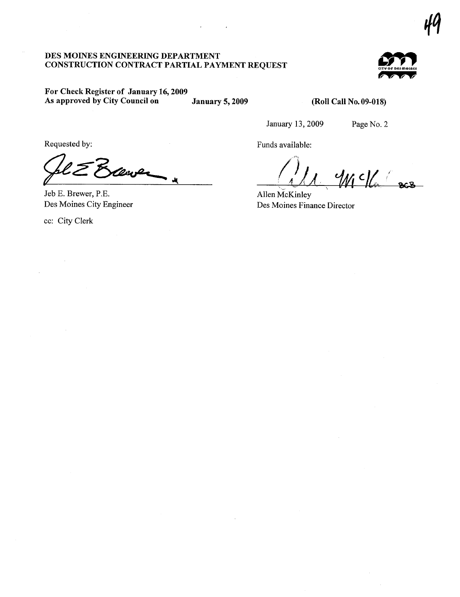# DES MOINES ENGINEERING DEPARTMENT **CONSTRUCTION CONTRACT PARTIAL PAYMENT REQUEST**



# For Check Register of January 16, 2009 As approved by City Council on

**January 5, 2009** 

# (Roll Call No. 09-018)

January 13, 2009

Funds available:

Page No. 2

Requested by:

Jeb E. Brewer, P.E. Des Moines City Engineer

cc: City Clerk

 $4Mc$ 

Allen McKinley Des Moines Finance Director